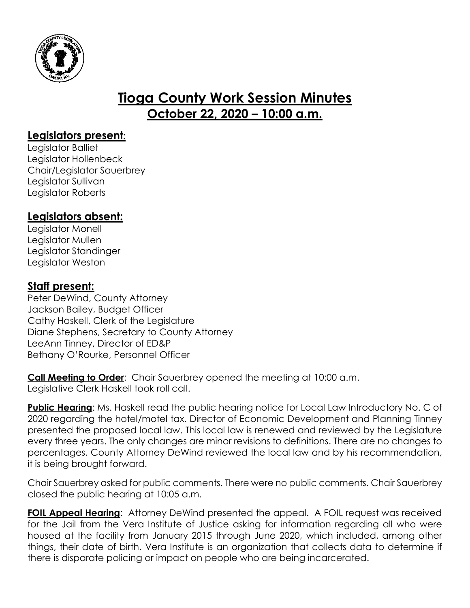

# **Tioga County Work Session Minutes October 22, 2020 – 10:00 a.m.**

## **Legislators present:**

Legislator Balliet Legislator Hollenbeck Chair/Legislator Sauerbrey Legislator Sullivan Legislator Roberts

# **Legislators absent:**

Legislator Monell Legislator Mullen Legislator Standinger Legislator Weston

## **Staff present:**

Peter DeWind, County Attorney Jackson Bailey, Budget Officer Cathy Haskell, Clerk of the Legislature Diane Stephens, Secretary to County Attorney LeeAnn Tinney, Director of ED&P Bethany O'Rourke, Personnel Officer

**Call Meeting to Order**: Chair Sauerbrey opened the meeting at 10:00 a.m. Legislative Clerk Haskell took roll call.

**Public Hearing**: Ms. Haskell read the public hearing notice for Local Law Introductory No. C of 2020 regarding the hotel/motel tax. Director of Economic Development and Planning Tinney presented the proposed local law. This local law is renewed and reviewed by the Legislature every three years. The only changes are minor revisions to definitions. There are no changes to percentages. County Attorney DeWind reviewed the local law and by his recommendation, it is being brought forward.

Chair Sauerbrey asked for public comments. There were no public comments. Chair Sauerbrey closed the public hearing at 10:05 a.m.

**FOIL Appeal Hearing:** Attorney DeWind presented the appeal. A FOIL request was received for the Jail from the Vera Institute of Justice asking for information regarding all who were housed at the facility from January 2015 through June 2020, which included, among other things, their date of birth. Vera Institute is an organization that collects data to determine if there is disparate policing or impact on people who are being incarcerated.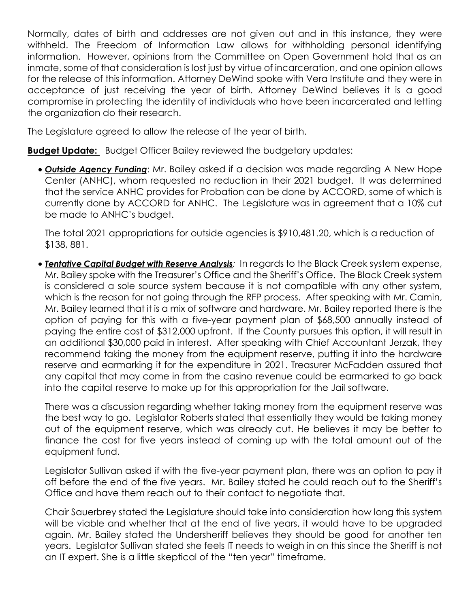Normally, dates of birth and addresses are not given out and in this instance, they were withheld. The Freedom of Information Law allows for withholding personal identifying information. However, opinions from the Committee on Open Government hold that as an inmate, some of that consideration is lost just by virtue of incarceration, and one opinion allows for the release of this information. Attorney DeWind spoke with Vera Institute and they were in acceptance of just receiving the year of birth. Attorney DeWind believes it is a good compromise in protecting the identity of individuals who have been incarcerated and letting the organization do their research.

The Legislature agreed to allow the release of the year of birth.

**Budget Update:** Budget Officer Bailey reviewed the budgetary updates:

 *Outside Agency Funding*: Mr. Bailey asked if a decision was made regarding A New Hope Center (ANHC), whom requested no reduction in their 2021 budget. It was determined that the service ANHC provides for Probation can be done by ACCORD, some of which is currently done by ACCORD for ANHC. The Legislature was in agreement that a 10% cut be made to ANHC's budget.

The total 2021 appropriations for outside agencies is \$910,481.20, which is a reduction of \$138, 881.

 *Tentative Capital Budget with Reserve Analysis:* In regards to the Black Creek system expense, Mr. Bailey spoke with the Treasurer's Office and the Sheriff's Office. The Black Creek system is considered a sole source system because it is not compatible with any other system, which is the reason for not going through the RFP process. After speaking with Mr. Camin, Mr. Bailey learned that it is a mix of software and hardware. Mr. Bailey reported there is the option of paying for this with a five-year payment plan of \$68,500 annually instead of paying the entire cost of \$312,000 upfront. If the County pursues this option, it will result in an additional \$30,000 paid in interest. After speaking with Chief Accountant Jerzak, they recommend taking the money from the equipment reserve, putting it into the hardware reserve and earmarking it for the expenditure in 2021. Treasurer McFadden assured that any capital that may come in from the casino revenue could be earmarked to go back into the capital reserve to make up for this appropriation for the Jail software.

There was a discussion regarding whether taking money from the equipment reserve was the best way to go. Legislator Roberts stated that essentially they would be taking money out of the equipment reserve, which was already cut. He believes it may be better to finance the cost for five years instead of coming up with the total amount out of the equipment fund.

Legislator Sullivan asked if with the five-year payment plan, there was an option to pay it off before the end of the five years. Mr. Bailey stated he could reach out to the Sheriff's Office and have them reach out to their contact to negotiate that.

Chair Sauerbrey stated the Legislature should take into consideration how long this system will be viable and whether that at the end of five years, it would have to be upgraded again. Mr. Bailey stated the Undersheriff believes they should be good for another ten years. Legislator Sullivan stated she feels IT needs to weigh in on this since the Sheriff is not an IT expert. She is a little skeptical of the "ten year" timeframe.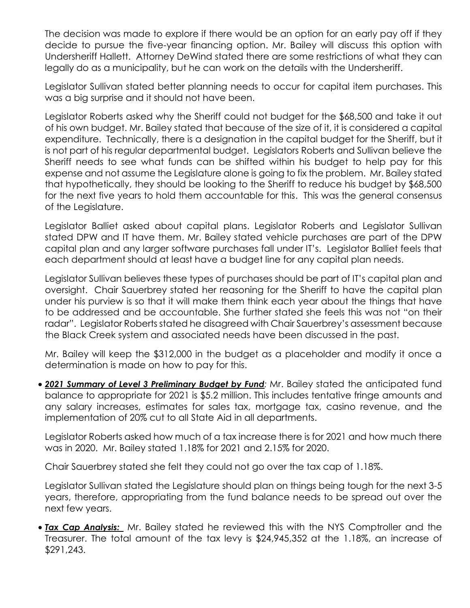The decision was made to explore if there would be an option for an early pay off if they decide to pursue the five-year financing option. Mr. Bailey will discuss this option with Undersheriff Hallett. Attorney DeWind stated there are some restrictions of what they can legally do as a municipality, but he can work on the details with the Undersheriff.

Legislator Sullivan stated better planning needs to occur for capital item purchases. This was a big surprise and it should not have been.

Legislator Roberts asked why the Sheriff could not budget for the \$68,500 and take it out of his own budget. Mr. Bailey stated that because of the size of it, it is considered a capital expenditure. Technically, there is a designation in the capital budget for the Sheriff, but it is not part of his regular departmental budget. Legislators Roberts and Sullivan believe the Sheriff needs to see what funds can be shifted within his budget to help pay for this expense and not assume the Legislature alone is going to fix the problem. Mr. Bailey stated that hypothetically, they should be looking to the Sheriff to reduce his budget by \$68,500 for the next five years to hold them accountable for this. This was the general consensus of the Legislature.

Legislator Balliet asked about capital plans. Legislator Roberts and Legislator Sullivan stated DPW and IT have them. Mr. Bailey stated vehicle purchases are part of the DPW capital plan and any larger software purchases fall under IT's. Legislator Balliet feels that each department should at least have a budget line for any capital plan needs.

Legislator Sullivan believes these types of purchases should be part of IT's capital plan and oversight. Chair Sauerbrey stated her reasoning for the Sheriff to have the capital plan under his purview is so that it will make them think each year about the things that have to be addressed and be accountable. She further stated she feels this was not "on their radar". Legislator Roberts stated he disagreed with Chair Sauerbrey's assessment because the Black Creek system and associated needs have been discussed in the past.

Mr. Bailey will keep the \$312,000 in the budget as a placeholder and modify it once a determination is made on how to pay for this.

 *2021 Summary of Level 3 Preliminary Budget by Fund:* Mr. Bailey stated the anticipated fund balance to appropriate for 2021 is \$5.2 million. This includes tentative fringe amounts and any salary increases, estimates for sales tax, mortgage tax, casino revenue, and the implementation of 20% cut to all State Aid in all departments.

Legislator Roberts asked how much of a tax increase there is for 2021 and how much there was in 2020. Mr. Bailey stated 1.18% for 2021 and 2.15% for 2020.

Chair Sauerbrey stated she felt they could not go over the tax cap of 1.18%.

Legislator Sullivan stated the Legislature should plan on things being tough for the next 3-5 years, therefore, appropriating from the fund balance needs to be spread out over the next few years.

 *Tax Cap Analysis:* Mr. Bailey stated he reviewed this with the NYS Comptroller and the Treasurer. The total amount of the tax levy is \$24,945,352 at the 1.18%, an increase of \$291,243.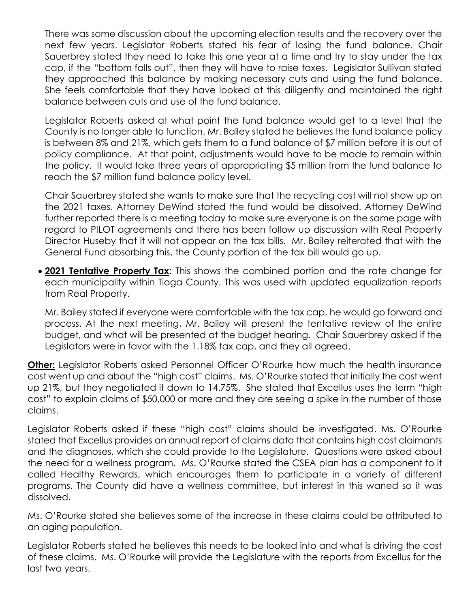There was some discussion about the upcoming election results and the recovery over the next few years. Legislator Roberts stated his fear of losing the fund balance. Chair Sauerbrey stated they need to take this one year at a time and try to stay under the tax cap, if the "bottom falls out", then they will have to raise taxes. Legislator Sullivan stated they approached this balance by making necessary cuts and using the fund balance. She feels comfortable that they have looked at this diligently and maintained the right balance between cuts and use of the fund balance.

Legislator Roberts asked at what point the fund balance would get to a level that the County is no longer able to function. Mr. Bailey stated he believes the fund balance policy is between 8% and 21%, which gets them to a fund balance of \$7 million before it is out of policy compliance. At that point, adjustments would have to be made to remain within the policy. It would take three years of appropriating \$5 million from the fund balance to reach the \$7 million fund balance policy level.

Chair Sauerbrey stated she wants to make sure that the recycling cost will not show up on the 2021 taxes. Attorney DeWind stated the fund would be dissolved. Attorney DeWind further reported there is a meeting today to make sure everyone is on the same page with regard to PILOT agreements and there has been follow up discussion with Real Property Director Huseby that it will not appear on the tax bills. Mr. Bailey reiterated that with the General Fund absorbing this, the County portion of the tax bill would go up.

 **2021 Tentative Property Tax**: This shows the combined portion and the rate change for each municipality within Tioga County. This was used with updated equalization reports from Real Property.

Mr. Bailey stated if everyone were comfortable with the tax cap, he would go forward and process. At the next meeting, Mr. Bailey will present the tentative review of the entire budget, and what will be presented at the budget hearing. Chair Sauerbrey asked if the Legislators were in favor with the 1.18% tax cap, and they all agreed.

**Other:** Legislator Roberts asked Personnel Officer O'Rourke how much the health insurance cost went up and about the "high cost" claims. Ms. O'Rourke stated that initially the cost went up 21%, but they negotiated it down to 14.75%. She stated that Excellus uses the term "high cost" to explain claims of \$50,000 or more and they are seeing a spike in the number of those claims.

Legislator Roberts asked if these "high cost" claims should be investigated. Ms. O'Rourke stated that Excellus provides an annual report of claims data that contains high cost claimants and the diagnoses, which she could provide to the Legislature. Questions were asked about the need for a wellness program. Ms. O'Rourke stated the CSEA plan has a component to it called Healthy Rewards, which encourages them to participate in a variety of different programs. The County did have a wellness committee, but interest in this waned so it was dissolved.

Ms. O'Rourke stated she believes some of the increase in these claims could be attributed to an aging population.

Legislator Roberts stated he believes this needs to be looked into and what is driving the cost of these claims. Ms. O'Rourke will provide the Legislature with the reports from Excellus for the last two years.